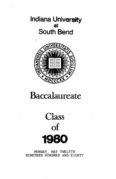### Indiana University at South Bend



## Baccalaureate

# **Class** of 1980

MONDAY, MAY TWELFTH NINETEEN HUNDRED AND EIGHTY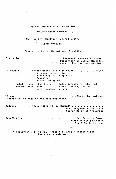#### INDIANA UNIVERSITY AT SOUTH BEND

#### BACCALAUREATE PROGRAM

May Twelfth, Nineteen Hundred Eighty

Seven O'Clock

Chancellor Lester M. Wolfson, Presiding

Invocation . . . . Reverend Lawrence A. Kramer  $\cdot$ Department of Campus Ministry Diocese of Fort Wayne-South Bend

Interlude . . . . Divertimento in B Flat Major . . . . . . . Haydn Allegro con spirito Andante quasi Allegretto Menuetto Rondo: Allegretto

Natalie Hendricks, flute Betsy Colapietro, clarinet Ruthann Kehr, oboe Ellen Lindsay, bassoon Larry Laskowski, horn

. . . Chancellor Wolfson Litany  $\ldots$  . . . . (Words are printed on the opposite page)

Former Mayor of Mishawaka

Benediction . . . . . . . . Dr. Patricia Bowen First Unitarian Church South Bend, Indiana

A reception will follow - Reception Area - Second Floor Everyone is welcome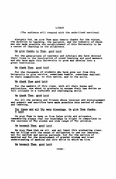#### LITANY

(The audience will respond with the underlined sections)

Almighty God, we give Thee most hearty thanks for the vision, the devotion to learning, the patience, and the industry of those men who made possible the establishment of this University to be a center of learning in the w

We give thanks to Thee, good Lord.

For the generations of teachers and scholars who have devoted their lives to the inculcation of sound learning and good manners and who have made this University to grow and develop into a great institution.

We thank Thee, good Lord.

For the thousands of students who have gone out from this University to give service, sometimes humble, sometimes exalted, to their communities, to this nation, and to the world,

We thank Thee good Lord.

For the members of this class, with all their hopes and aspirations, now about to graduate to assume their new duties as full citizens in a turbulent and challenging world,

We thank Thee, good Lord.

For all the parents and friends whose interest and encouragement and support and sacrifice have made possible this period of study and learning,

For these and all Thy many blessings, We give Thee thanks,  $\overline{0}$  Lord.

We pray Thee to keep us from false pride and arrogance, we remembering always that our knowledge is slight in comparison to the vastness of Thy wisdom and wide range of Thy universe.

We beseech Thee, good Lord.

We pray Thee that we all, and not least this graduating class, may be filled with the sense of obligation to use our learning, not for selfiah and narrow purposes, but for the service of mankind and for the development of greater wisdoa and truer underatanding of mankind and this world in which'we live.

We beseech Thee, good Lord.

•over-